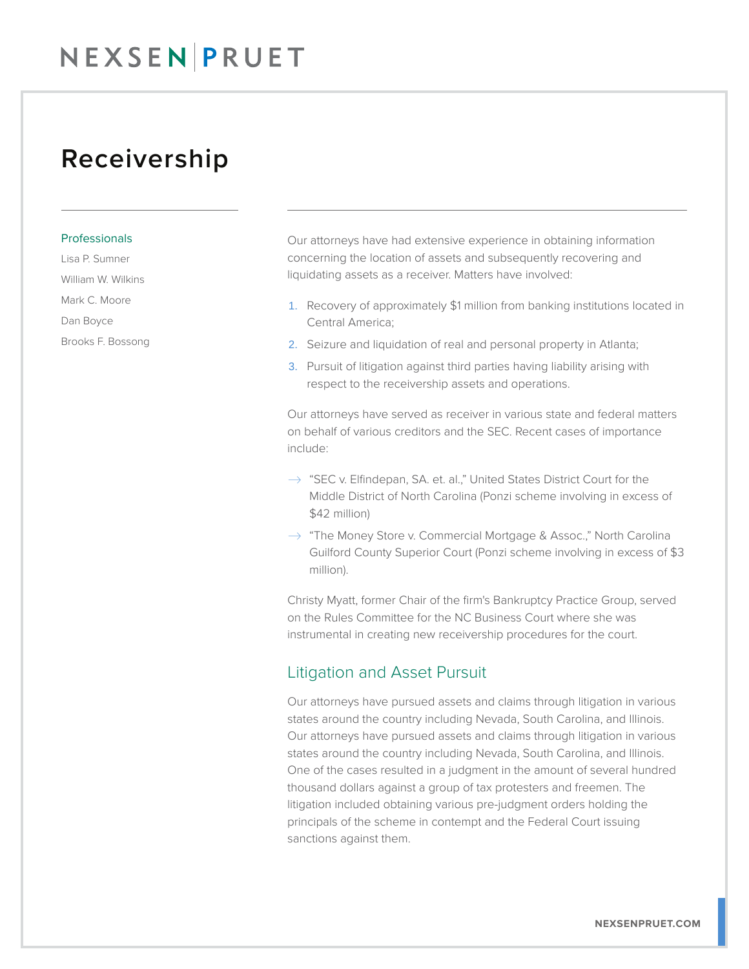## NEXSEN PRUET

## Receivership

#### Professionals

Lisa P. Sumner

William W. Wilkins

Mark C. Moore

Dan Boyce

Brooks F. Bossong

Our attorneys have had extensive experience in obtaining information concerning the location of assets and subsequently recovering and liquidating assets as a receiver. Matters have involved:

- 1. Recovery of approximately \$1 million from banking institutions located in Central America;
- 2. Seizure and liquidation of real and personal property in Atlanta;
- 3. Pursuit of litigation against third parties having liability arising with respect to the receivership assets and operations.

Our attorneys have served as receiver in various state and federal matters on behalf of various creditors and the SEC. Recent cases of importance include:

- $\rightarrow$  "SEC v. Elfindepan, SA. et. al.," United States District Court for the Middle District of North Carolina (Ponzi scheme involving in excess of \$42 million)
- $\rightarrow$  "The Money Store v. Commercial Mortgage & Assoc.," North Carolina Guilford County Superior Court (Ponzi scheme involving in excess of \$3 million).

Christy Myatt, former Chair of the firm's Bankruptcy Practice Group, served on the Rules Committee for the NC Business Court where she was instrumental in creating new receivership procedures for the court.

#### Litigation and Asset Pursuit

Our attorneys have pursued assets and claims through litigation in various states around the country including Nevada, South Carolina, and Illinois. Our attorneys have pursued assets and claims through litigation in various states around the country including Nevada, South Carolina, and Illinois. One of the cases resulted in a judgment in the amount of several hundred thousand dollars against a group of tax protesters and freemen. The litigation included obtaining various pre-judgment orders holding the principals of the scheme in contempt and the Federal Court issuing sanctions against them.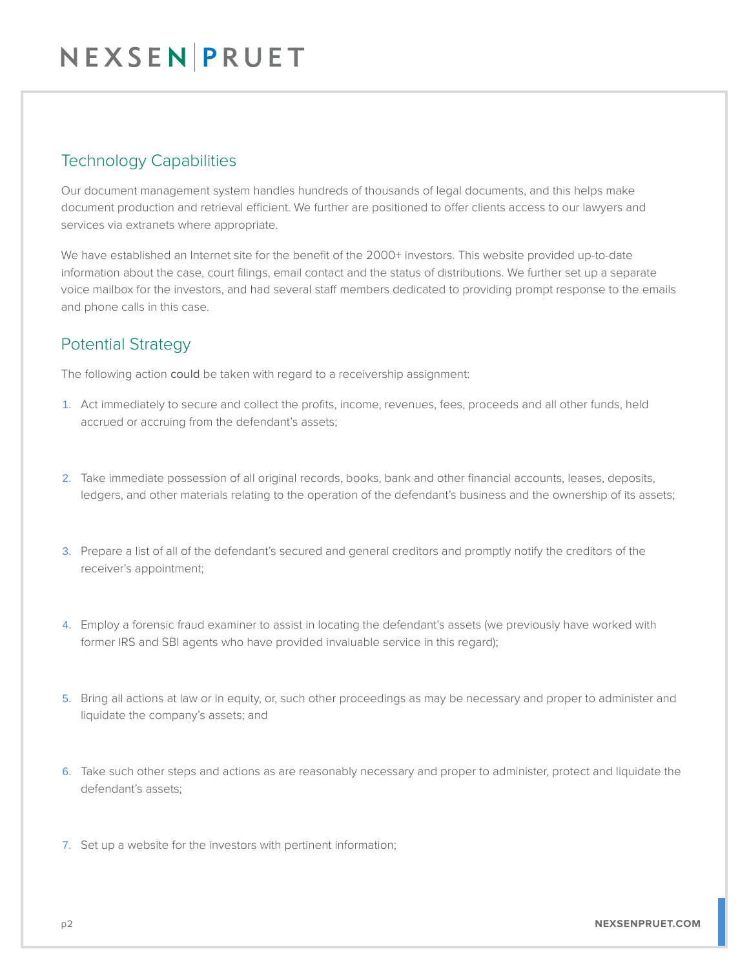### Technology Capabilities

Our document management system handles hundreds of thousands of legal documents, and this helps make document production and retrieval efficient. We further are positioned to offer clients access to our lawyers and services via extranets where appropriate.

We have established an Internet site for the benefit of the 2000+ investors. This website provided up-to-date information about the case, court filings, email contact and the status of distributions. We further set up a separate voice mailbox for the investors, and had several staff members dedicated to providing prompt response to the emails and phone calls in this case.

### Potential Strategy

The following action could be taken with regard to a receivership assignment:

- 1. Act immediately to secure and collect the profits, income, revenues, fees, proceeds and all other funds, held accrued or accruing from the defendant's assets;
- 2. Take immediate possession of all original records, books, bank and other financial accounts, leases, deposits, ledgers, and other materials relating to the operation of the defendant's business and the ownership of its assets;
- 3. Prepare a list of all of the defendant's secured and general creditors and promptly notify the creditors of the receiver's appointment;
- 4. Employ a forensic fraud examiner to assist in locating the defendant's assets (we previously have worked with former IRS and SBI agents who have provided invaluable service in this regard);
- 5. Bring all actions at law or in equity, or, such other proceedings as may be necessary and proper to administer and liquidate the company's assets; and
- 6. Take such other steps and actions as are reasonably necessary and proper to administer, protect and liquidate the defendant's assets;
- 7. Set up a website for the investors with pertinent information;